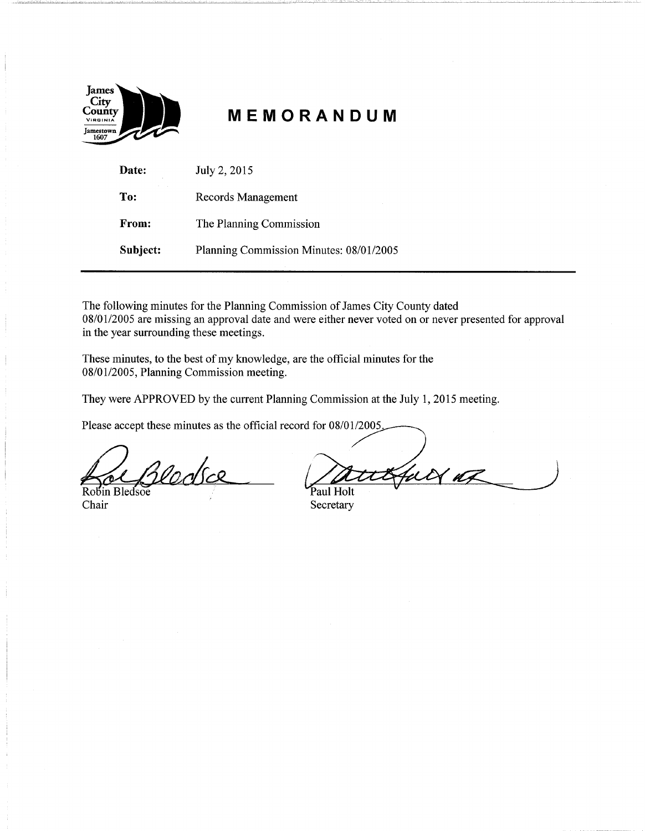

# **MEMORANDUM**

| Date:    | July 2, 2015                            |
|----------|-----------------------------------------|
| To:      | Records Management                      |
| From:    | The Planning Commission                 |
| Subject: | Planning Commission Minutes: 08/01/2005 |

The following minutes for the Planning Commission of James City County dated 08/01/2005 are missing an approval date and were either never voted on or never presented for approval in the year surrounding these meetings.

These minutes, to the best of my knowledge, are the official minutes for the 08/01/2005, Planning Commission meeting.

They were APPROVED by the current Planning Commission at the July 1, 2015 meeting.<br>Please accept these minutes as the official record for 08/01/2005

Robin Bledsoe Paul Holt

08/01/2005, Planning Commission meeting.<br>They were APPROVED by the current Planning Commission at the July 1, 2015 meeting.<br>Please accept these minutes as the official record for 08/01/2005<br>Please accept these minutes as t

Chair Secretary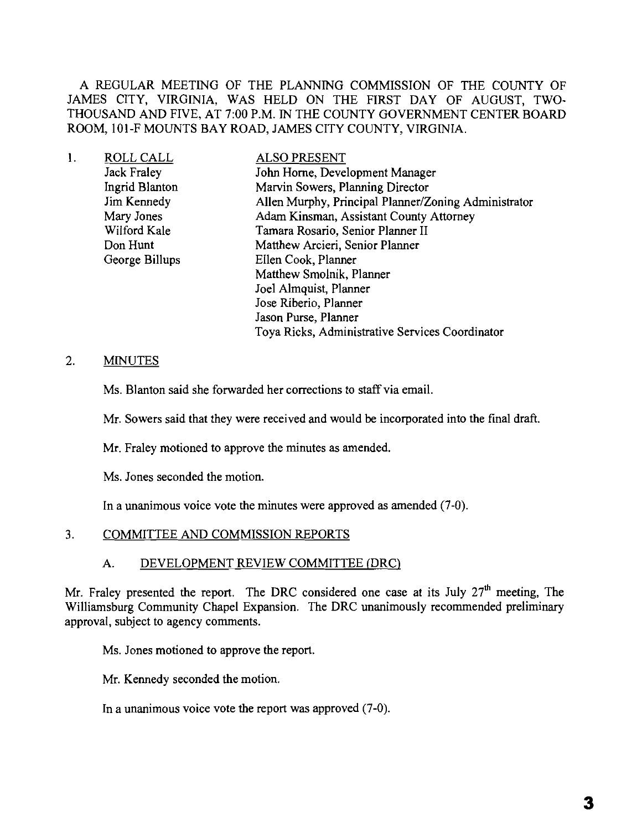A REGULAR MEETING OF THE PLANNING COMMISSION OF THE COUNTY OF JAMES CITY, VIRGINIA, WAS HELD ON THE FIRST DAY OF AUGUST, TWO-THOUSAND AND FIVE, AT 7:00 P.M. IN THE COUNTY GOVERNMENT CENTER BOARD ROOM, 101-F MOUNTS BAY ROAD, JAMES CITY COUNTY, VIRGINIA.

| 1. | ROLL CALL          | <b>ALSO PRESENT</b>                                  |
|----|--------------------|------------------------------------------------------|
|    | <b>Jack Fraley</b> | John Horne, Development Manager                      |
|    | Ingrid Blanton     | Marvin Sowers, Planning Director                     |
|    | Jim Kennedy        | Allen Murphy, Principal Planner/Zoning Administrator |
|    | Mary Jones         | Adam Kinsman, Assistant County Attorney              |
|    | Wilford Kale       | Tamara Rosario, Senior Planner II                    |
|    | Don Hunt           | Matthew Arcieri, Senior Planner                      |
|    | George Billups     | Ellen Cook, Planner                                  |
|    |                    | Matthew Smolnik, Planner                             |
|    |                    | Joel Almquist, Planner                               |
|    |                    | Jose Riberio, Planner                                |
|    |                    | Jason Purse, Planner                                 |
|    |                    | Toya Ricks, Administrative Services Coordinator      |

# 2. MINUTES

Ms. Blanton said she forwarded her corrections to staff via email.

Mr. Sowers said that they were received and would be incorporated into the final draft.

Mr. Fraley motioned to approve the minutes as amended.

Ms. Jones seconded the motion.

In a unanimous voice vote the minutes were approved as amended (7-0).

#### 3. COMMITTEE AND COMMISSION REPORTS

#### A. DEVELOPMENT REVIEW COMMITTEE (DRC)

Mr. Fraley presented the report. The DRC considered one case at its July  $27<sup>th</sup>$  meeting, The Williamsburg Community Chapel Expansion. The DRC unanimously recommended preliminary approval, subject to agency comments.

Ms. Jones motioned to approve the report.

Mr. Kennedy seconded the motion.

In a unanimous voice vote the report was approved (7-0).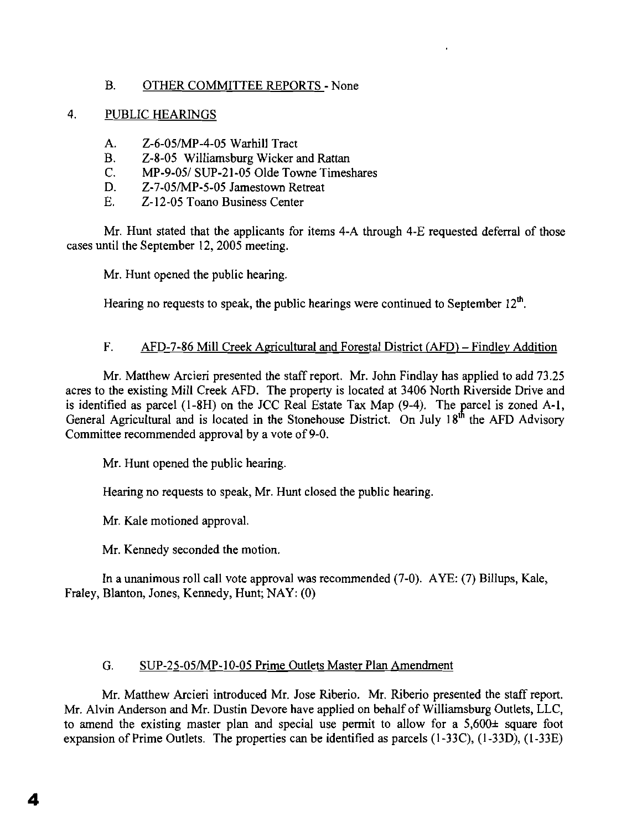# B. OTHER COMMITTEE REPORTS - None

## 4. PUBLIC HEARINGS

- A. Z-6-05/MP-4-05 Warhill Tract
- B. Z-S-05 Williamsburg Wicker and Rattan
- C. MP-9-05/ SUP-21-05 Olde Towne Timeshares
- D. Z-7-05/MP-5-05 Jamestown Retreat
- E. Z-12-05 Toano Business Center

Mr. Hunt stated that the applicants for items 4-A through 4-E requested deferral of those cases until the September 12, 2005 meeting.

Mr. Hunt opened the public hearing.

Hearing no requests to speak, the public hearings were continued to September  $12<sup>th</sup>$ .

# F. AFD-7-86 Mill Creek Agricultural and Forestal District (AFD) – Findley Addition

Mr. Matthew Arcieri presented the staff report. Mr. John Findlay has applied to add 73.25 acres to the existing Mill Creek AFD. The property is located at 3406 North Riverside Drive and is identified as parcel (1-8H) on the JCC Real Estate Tax Map (9-4). The parcel is zoned A-1, General Agricultural and is located in the Stonehouse District. On July  $18<sup>th</sup>$  the AFD Advisory Committee recommended approval by a vote of 9-0.

Mr. Hunt opened the public hearing.

Hearing no requests to speak, Mr. Hunt closed the public hearing.

Mr. Kale motioned approval.

Mr. Kennedy seconded the motion.

In a unanimous roll call vote approval was recommended (7-0). AYE: (7) Billups, Kale, Fraley, Blanton, Jones, Kennedy, Hunt; NAY: (0)

# G. SUP-25-05/MP-10-05 Prime Outlets Master Plan Amendment

Mr. Matthew Arcieri introduced Mr. Jose Riberio. Mr. Riberio presented the staff report. Mr. Alvin Anderson and Mr. Dustin Devore have applied on behalf of Williamsburg Outlets, LLC, to amend the existing master plan and special use permit to allow for a 5,600± square foot expansion of Prime Outlets. The properties can be identified as parcels (I-33C), (1-33D), (I-33E)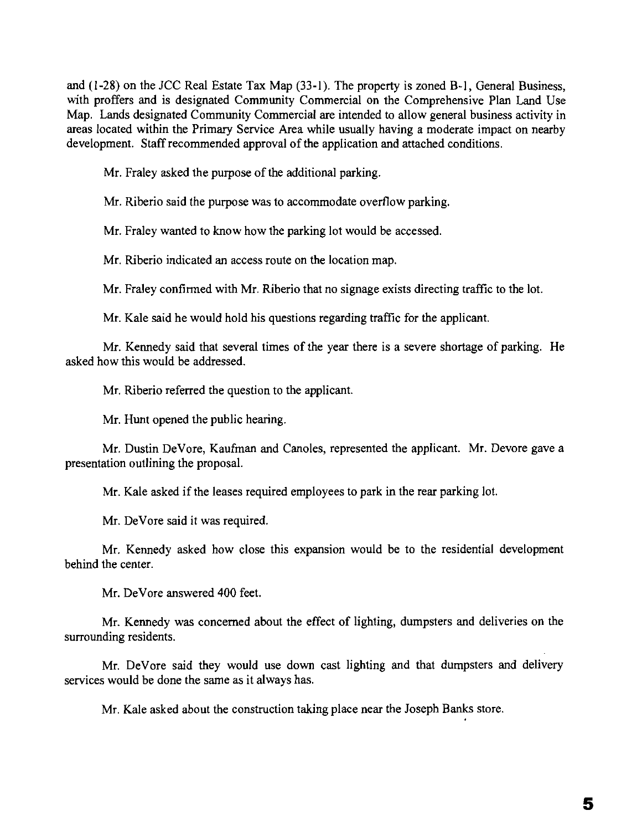and (1-28) on the JCC Real Estate Tax Map (33-1). The property is zoned B-1, General Business, with proffers and is designated Community Commercial on the Comprehensive Plan Land Use Map. Lands designated Community Commercial are intended to allow general business activity in areas located within the Primary Service Area while usually having a moderate impact on nearby development. Staff recommended approval of the application and attached conditions.

Mr. Fraley asked the purpose of the additional parking.

Mr. Riberio said the purpose was to accommodate overflow parking.

Mr. Fraley wanted to know how the parking lot would be accessed.

Mr. Riberio indicated an access route on the location map.

Mr. Fraley confirmed with Mr. Riberio that no signage exists directing traffic to the lot.

Mr. Kale said he would hold his questions regarding traffic for the applicant.

Mr. Kennedy said that several times of the year there is a severe shortage of parking. He asked how this would be addressed.

Mr. Riberio referred the question to the applicant.

Mr. Hunt opened the public hearing.

Mr. Dustin DeVore, Kaufman and Canoles, represented the applicant. Mr. Devore gave a presentation outlining the proposal.

Mr. Kale asked if the leases required employees to park in the rear parking lot.

Mr. DeVore said it was required.

Mr. Kennedy asked how close this expansion would be to the residential development behind the center.

Mr. DeVore answered 400 feet.

Mr. Kennedy was concerned about the effect of lighting, dumpsters and deliveries on the surrounding residents.

Mr. DeVore said they would use down cast lighting and that dumpsters and delivery services would be done the same as it always has.

Mr. Kale asked about the construction taking place near the Joseph Banks store.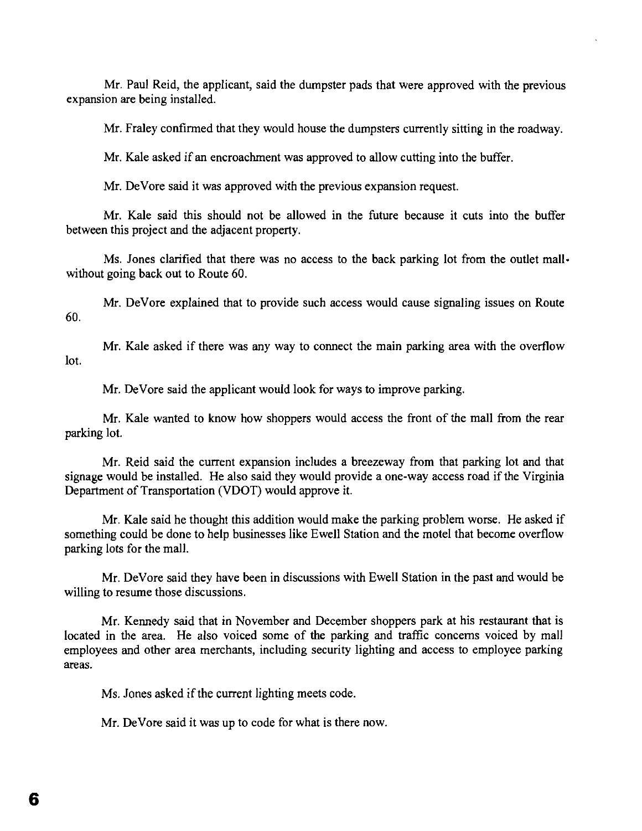Mr. Paul Reid, the applicant, said the dumpster pads that were approved with the previous expansion are being installed.

Mr. Fraley confirmed that they would house the dumpsters currently sitting in the roadway.

Mr. Kale asked if an encroachment was approved to allow cutting into the buffer.

Mr. DeVore said it was approved with the previous expansion request.

Mr. Kale said this should not be allowed in the future because it cuts into the buffer between this project and the adjacent property.

Ms. lones clarified that there was no access to the back parking lot from the outlet mallwithout going back out to Route 60.

Mr. DeVore explained that to provide such access would cause signaling issues on Route 60.

Mr. Kale asked if there was any way to connect the main parking area with the overflow lot.

Mr. DeVore said the applicant would look for ways to improve parking.

Mr. Kale wanted to know how shoppers would access the front of the mall from the rear parking lot.

Mr. Reid said the current expansion includes a breezeway from that parking lot and that signage would be installed. He also said they would provide a one-way access road if the Virginia Department of Transportation (VDOT) would approve it.

Mr. Kale said he thought this addition would make the parking problem worse. He asked if something could be done to help businesses like Ewell Station and the motel that become overflow parking lots for the mall.

Mr. DeVore said they have been in discussions with Ewell Station in the past and would be willing to resume those discussions.

Mr. Kennedy said that in November and December shoppers park at his restaurant that is located in the area. He also voiced some of the parking and traffic concerns voiced by mall employees and other area merchants, including security lighting and access to employee parking areas.

Ms. Jones asked if the current lighting meets code.

Mr. DeVore said it was up to code for what is there now.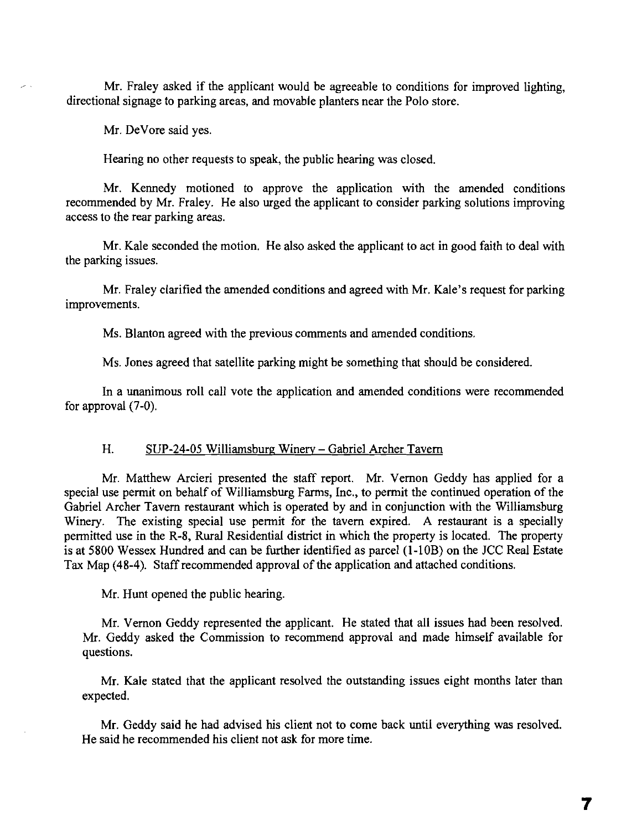Mr. Fraley asked if the applicant would be agreeable to conditions for improved lighting, directional signage to parking areas, and movable planters near the Polo store.

Mr. DeVore said yes.

Hearing no other requests to speak, the public hearing was closed.

Mr. Kennedy motioned to approve the application with the amended conditions recommended by Mr. Fraley. He also urged the applicant to consider parking solutions improving access to the rear parking areas.

Mr. Kale seconded the motion. He also asked the applicant to act in good faith to deal with the parking issues.

Mr. Fraley clarified the amended conditions and agreed with Mr. Kale's request for parking improvements.

Ms. Blanton agreed with the previous comments and amended conditions.

Ms. Jones agreed that satellite parking might be something that should be considered.

In a unanimous roll cal1 vote the application and amended conditions were recommended for approval (7-0).

#### H. SUP-24-05 Williamsburg Winery - Gabriel Archer Tavern

Mr. Matthew Arcieri presented the staff report. Mr. Vernon Geddy has applied for a special use permit on behalf of Williamsburg Farms, Inc., to permit the continued operation of the Gabriel Archer Tavern restaurant which is operated by and in conjunction with the Williamsburg Winery. The existing special use permit for the tavern expired. A restaurant is a specially permitted use in the R-8, Rural Residential district in which the property is located. The property is at 5800 Wessex Hundred and can be further identified as parcel (I-lOB) on the JCC Real Estate Tax Map (48-4). Staff recommended approval of the application and attached conditions.

Mr. Hunt opened the public hearing.

Mr. Vernon Geddy represented the applicant. He stated that all issues had been resolved. Mr. Geddy asked the Commission to recommend approval and made himself available for questions.

Mr. Kale stated that the applicant resolved the outstanding issues eight months later than expected.

Mr. Geddy said he had advised his client not to come back until everything was resolved. He said he recommended his client not ask for more time.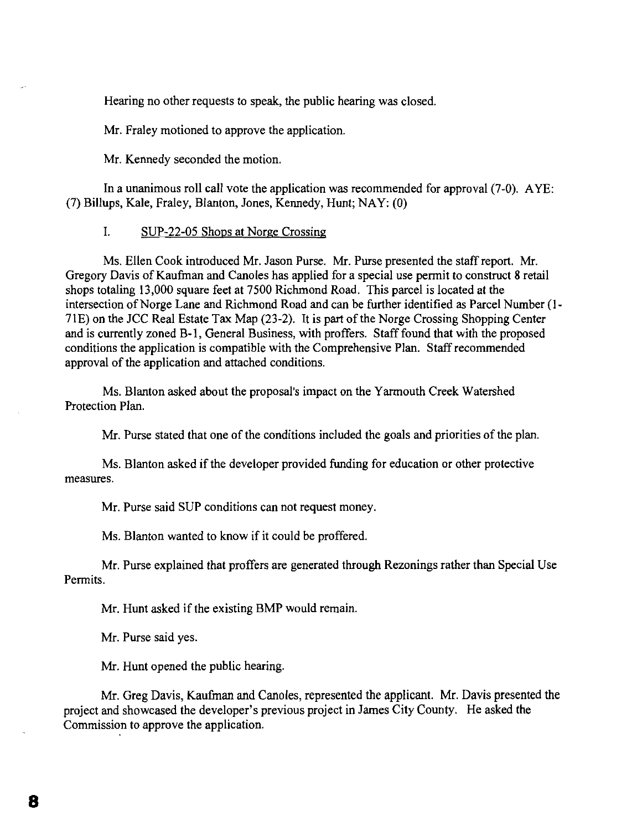Hearing no other requests to speak, the public hearing was closed.

Mr. Fraley motioned to approve the application.

Mr. Kennedy seconded the motion.

In a unanimous roll call vote the application was recommended for approval (7-0). AYE: (7) Billups, Kale, Fraley, Blanton, Jones, Kennedy, Hunt; NAY: (0)

### I. SUP-22-05 Shops at Norge Crossing

Ms. Ellen Cook introduced Mr. Jason Purse. Mr. Purse presented the staff report. Mr. Gregory Davis of Kaufman and Canoles has applied for a special use permit to construct 8 retail shops totaling 13,000 square feet at 7500 Richmond Road. This parcel is located at the intersection of Norge Lane and Richmond Road and can be further identified as Parcel Number (1-71E) on the JCC Real Estate Tax Map (23-2). It is part of the Norge Crossing Shopping Center and is currently zoned B-1, General Business, with proffers. Staff found that with the proposed conditions the application is compatible with the Comprehensive Plan. Staff recommended approval of the application and attached conditions.

Ms. Blanton asked about the proposal's impact on the Yarmouth Creek Watershed Protection Plan.

Mr. Purse stated that one of the conditions included the goals and priorities of the plan.

Ms. Blanton asked if the developer provided funding for education or other protective measures.

Mr. Purse said SUP conditions can not request money.

Ms. Blanton wanted to know if it could be proffered.

Mr. Purse explained that proffers are generated through Rezonings rather than Special Use Permits.

Mr. Hunt asked if the existing BMP would remain.

Mr. Purse said yes.

Mr. Hunt opened the public hearing.

Mr. Greg Davis, Kaufman and Canoles, represented the applicant. Mr. Davis presented the project and showcased the developer's previous project in James City County. He asked the Commission to approve the application.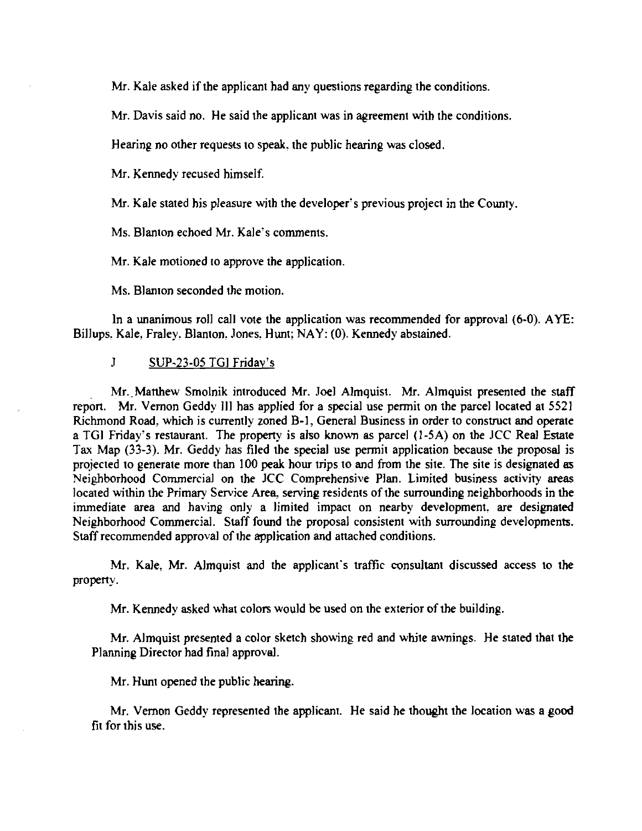Mr. Kale asked if the applicant had any questions regarding the conditions.

Mr. Davis said no. He said the applicant was in agreement with the conditions.

Hearing no other requests to speak, the public hearing was closed.

Mr. Kennedy recused himself.

Mr. Kale stated his pleasure with the developer's previous project in the County.

Ms. Blanton echoed Mr. Kale's comments.

Mr. Kale motioned to approve the application.

Ms. Blanton seconded the motion.

In a unanimous roll call vote the application was recommended for approval (6-0). AYE: Billups, Kale, Fraley, Blanton, Jones, Hunt; NAY: (0). Kennedy abstained.

## .I SUP-23-05 TGI Friday's

Mr. Matthew Smolnik introduced Mr. Joel Almquist. Mr. Almquist presented the staff report. Mr. Vernon Geddy III has applied for a special use permit on the parcel located at 5521 Richmond Road, which is currently zoned B-1, General Business in order to construct and operate a TGI Friday's restaurant. The property is also known as parcel  $(1-5A)$  on the JCC Real Estate Tax Map (33-3). Mr. Geddy has filed the special use permit application because the proposal is projected to generate more than 100 peak hour trips to and from the site. The site is designated as Neighborhood Commercial on the JCC Comprehensive Plan. Limited business activity areas located within the Primary Service Area, serving residents of the surrounding neighborhoods in the immediate area and having only a limited impact on nearby development, are designated Neighborhood Commercial. Staff found the proposal consistent with surrounding developments. Staff recommended approval of the application and attached conditions.

Mr. Kale, Mr. Almquist and the applicant's traffic consultant discussed access to the property.

Mr. Kennedy asked what colors would be used on the exterior of the building.

Mr. Almquist presented a color sketch showing red and white awnings. He stated that the Planning Director had final approval.

Mr. Hunt opened the public hearing.

Mr. Vernon Geddy represented the applicant. He said he thought the location was a good fit for this use.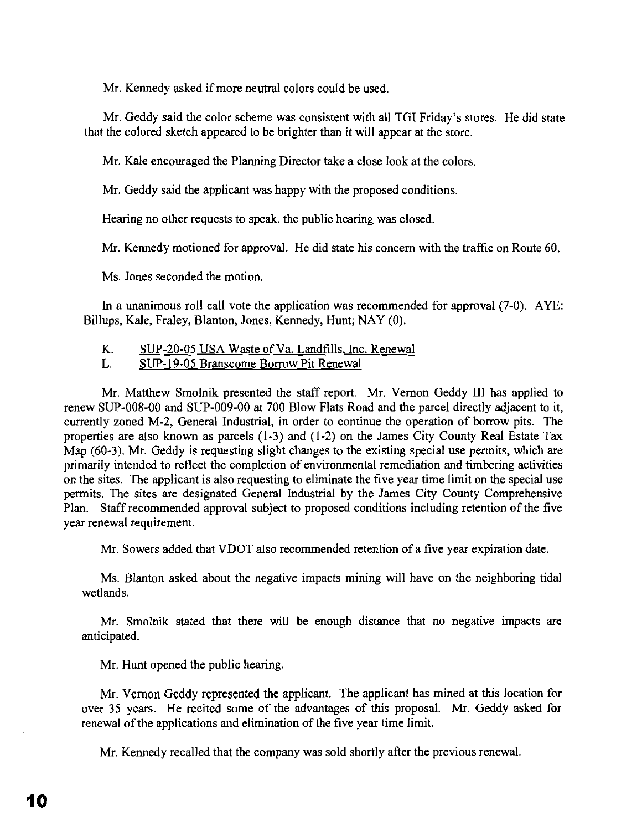Mr. Kennedy asked if more neutral colors could be used.

Mr. Geddy said the color scheme was consistent with all TGI Friday's stores. He did state that the colored sketch appeared to be brighter than it will appear at the store.

Mr. Kale encouraged the Planning Director take a close look at the colors.

Mr. Geddy said the applicant was happy with the proposed conditions.

Hearing no other requests to speak, the public hearing was closed.

Mr. Kennedy motioned for approval. He did state his concern with the traffic on Route 60.

Ms. Jones seconded the motion.

In a unanimous roll call vote the application was recommended for approval (7-0). AYE: Billups, Kale, Fraley, Blanton, Jones, Kennedy, Hunt; NAY (0).

- K. SUP-20-05 USA Waste of Va. Landfills, Inc. Renewal
- L. SUP-19-05 Branscome Borrow Pit Renewal

Mr. Matthew Smolnik presented the staff report. Mr. Vernon Geddy III has applied to renew SUP-OOB-OO and SUP-009-00 at 700 Blow Flats Road and the parcel directly adjacent to it, currently zoned M-2, General Industrial, in order to continue the operation of borrow pits. The properties are also known as parcels  $(1-3)$  and  $(1-2)$  on the James City County Real Estate Tax Map (60-3). Mr. Geddy is requesting slight changes to the existing special use permits, which are primarily intended to reflect the completion of environmental remediation and timbering activities on the sites. The applicant is also requesting to eliminate the five year time limit on the special use permits. The sites are designated General Industrial by the James City County Comprehensive Plan. Staff recommended approval subject to proposed conditions including retention of the five year renewal requirement.

Mr. Sowers added that VDOT also recommended retention of a five year expiration date.

Ms. Blanton asked about the negative impacts mining will have on the neighboring tidal wetlands.

Mr. Smolnik stated that there will be enough distance that no negative impacts are anticipated.

Mr. Hunt opened the public hearing.

Mr. Vernon Geddy represented the applicant. The applicant has mined at this location for over 35 years. He recited some of the advantages of this proposal. Mr. Geddy asked for renewal of the applications and elimination of the five year time limit.

Mr. Kennedy recalled that the company was sold shortly after the previous renewal.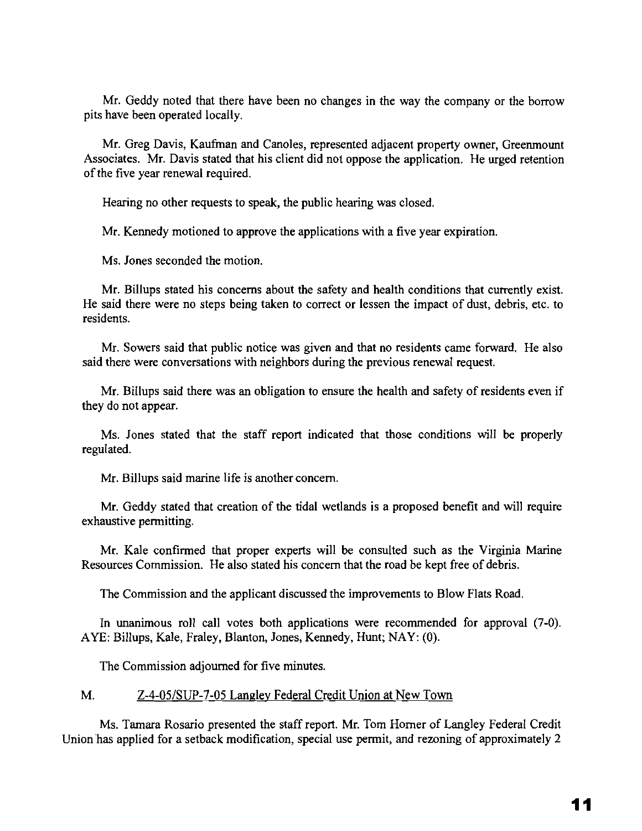Mr. Geddy noted that there have been no changes in the way the company or the borrow pits have been operated locally.

Mr. Greg Davis, Kaufman and Canoles, represented adjacent property owner, Greenmount Associates. Mr. Davis stated that his client did not oppose the application. He urged retention of the five year renewal required.

Hearing no other requests to speak, the public hearing was closed.

Mr. Kennedy motioned to approve the applications with a five year expiration.

Ms. Jones seconded the motion.

Mr. Billups stated his concerns about the safety and health conditions that currently exist. He said there were no steps being taken to correct or lessen the impact of dust, debris, etc. to residents.

Mr. Sowers said that public notice was given and that no residents came forward. He also said there were conversations with neighbors during the previous renewal request.

Mr. Billups said there was an obligation to ensure the health and safety of residents even if they do not appear.

Ms. Jones stated that the staff report indicated that those conditions will be properly regulated.

Mr. Billups said marine life is another concern.

Mr. Geddy stated that creation of the tidal wetlands is a proposed benefit and will require exhaustive permitting.

Mr. Kale confirmed that proper experts will be consulted such as the Virginia Marine Resources Commission. He also stated his concern that the road be kept free of debris.

The Commission and the applicant discussed the improvements to Blow Flats Road.

In unanimous roll call votes both applications were recommended for approval (7-0). AYE: Billups, Kale, Fraley, Blanton, Jones, Kennedy, Hunt; NAY: (0).

The Commission adjourned for five minutes.

## M. Z-4-05/SUP-7-05 Langley Federal Credit Union at New Town

Ms. Tamara Rosario presented the staff report. Mr. Tom Horner of Langley Federal Credit Union has applied for a setback modification, special use permit, and rezoning of approximately 2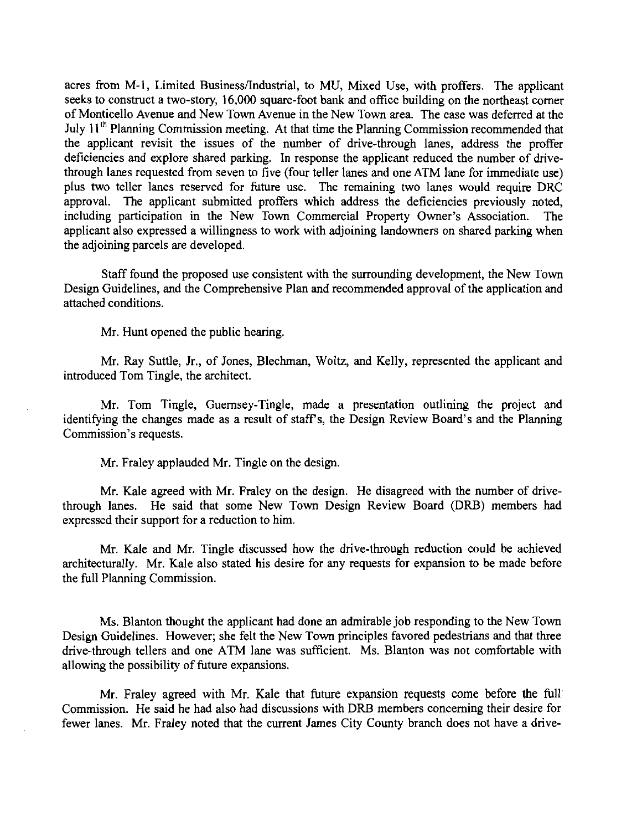acres from M-I, Limited Business/Industrial, to MU, Mixed Use, with proffers. The applicant seeks to construct a two-story, 16,000 square-foot bank and office building on the northeast comer of Monticello Avenue and New Town Avenue in the New Town area. The case was deferred at the July 11<sup>th</sup> Planning Commission meeting. At that time the Planning Commission recommended that the applicant revisit the issues of the number of drive-through lanes, address the proffer deficiencies and explore shared parking. In response the applicant reduced the number of drivethrough lanes requested from seven to five (four teller lanes and one ATM lane for immediate use) plus two teller lanes reserved for future use. The remaining two lanes would require DRC approval. The applicant submitted proffers which address the deficiencies previously noted, including participation in the New Town Commercial Property Owner's Association. The applicant also expressed a willingness to work with adjoining landowners on shared parking when the adjoining parcels are developed.

Staff found the proposed use consistent with the surrounding development, the New Town Design Guidelines, and the Comprehensive Plan and recommended approval of the application and attached conditions.

Mr. Hunt opened the public hearing.

Mr. Ray Suttle, Jr., of Jones, Blechman, Woltz, and Kelly, represented the applicant and introduced Tom Tingle, the architect.

Mr. Tom Tingle, Guernsey-Tingle, made a presentation outlining the project and identifying the changes made as a result of staffs, the Design Review Board's and the Planning Commission's requests.

Mr. Fraley applauded Mr. Tingle on the design.

Mr. Kale agreed with Mr. Fraley on the design. He disagreed with the number of drivethrough lanes. He said that some New Town Design Review Board (DRB) members had expressed their support for a reduction to him.

Mr. Kale and Mr. Tingle discussed how the drive-through reduction could be achieved architecturally. Mr. Kale also stated his desire for any requests for expansion to be made before the full Planning Commission.

Ms. Blanton thought the applicant had done an admirable job responding to the New Town Design Guidelines. However; she felt the New Town principles favored pedestrians and that three drive-through tellers and one ATM lane was sufficient. Ms. Blanton was not comfortable with allowing the possibility of future expansions.

Mr. Fraley agreed with Mr. Kale that future expansion requests come before the full Commission. He said he had also had discussions with DRB members concerning their desire for fewer lanes. Mr. Fraley noted that the current James City County branch does not have a drive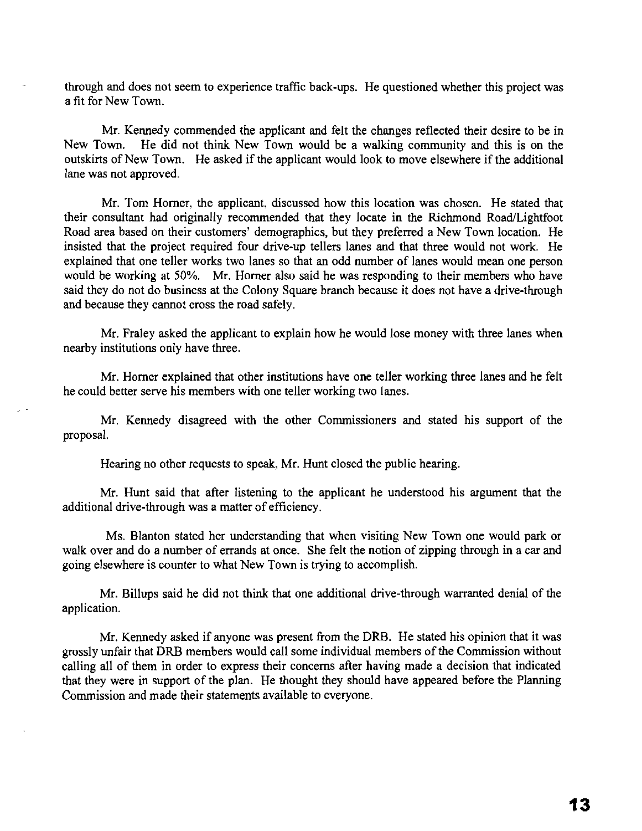through and does not seem to experience traffic back-ups. He questioned whether this project was a fit for New Town.

Mr. Kennedy commended the applicant and felt the changes reflected their desire to be in New Town. He did not think New Town would be a walking community and this is on the outskirts of New Town. He asked if the applicant would look to move elsewhere if the additional lane was not approved.

Mr. Tom Homer, the applicant, discussed how this location was chosen. He stated that their consultant had originally recommended that they locate in the Richmond Road/Lightfoot Road area based on their customers' demographics, but they preferred a New Town location. He insisted that the project required four drive-up tellers lanes and that three would not work. He explained that one teller works two lanes so that an odd number of lanes would mean one person would be working at 50%. Mr. Homer also said he was responding to their members who have said they do not do business at the Colony Square branch because it does not have a drive-through and because they cannot cross the road safely.

Mr. Fraley asked the applicant to explain how he would lose money with three lanes when nearby institutions only have three.

Mr. Homer explained that other institutions have one teller working three lanes and he felt he could better serve his members with one teller working two lanes.

Mr. Kennedy disagreed with the other Commissioners and stated his support of the proposal.

Hearing no other requests to speak, Mr. Hunt closed the public hearing.

Mr. Hunt said that after listening to the applicant he understood his argument that the additional drive-through was a matter of efficiency.

Ms. Blanton stated her understanding that when visiting New Town one would park or walk over and do a number of errands at once. She felt the notion of zipping through in a car and going elsewhere is counter to what New Town is trying to accomplish.

Mr. Billups said he did not think that one additional drive-through warranted denial of the application.

Mr. Kennedy asked if anyone was present from the ORB. He stated his opinion that it was grossly unfair that ORB members would call some individual members ofthe Commission without calling all of them in order to express their concerns after having made a decision that indicated that they were in support of the plan. He thought they should have appeared before the Planning Commission and made their statements available to everyone.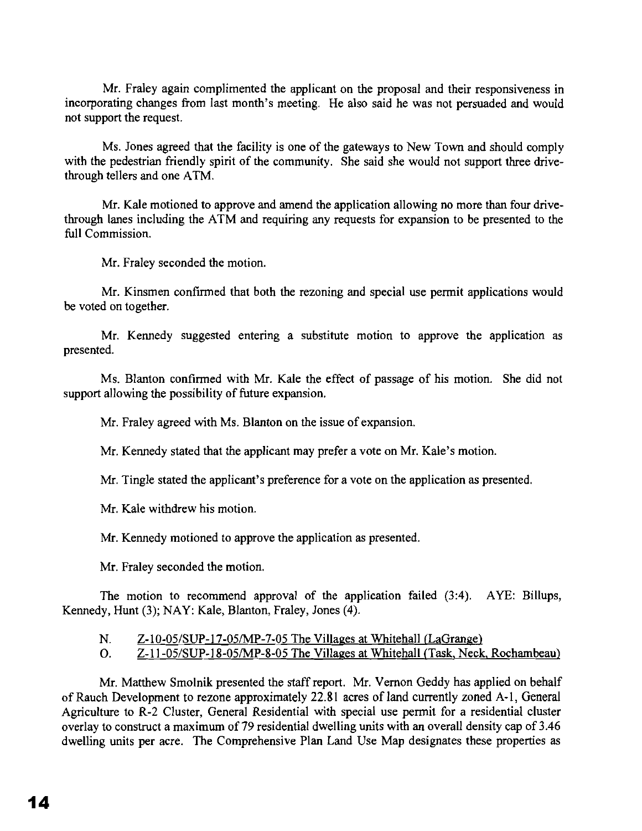Mr. Fraley again complimented the applicant on the proposal and their responsiveness in incorporating changes from last month's meeting. He also said he was not persuaded and would not support the request.

Ms. Jones agreed that the facility is one of the gateways to New Town and should comply with the pedestrian friendly spirit of the community. She said she would not support three drivethrough tellers and one ATM.

Mr. Kale motioned to approve and amend the application allowing no more than four drivethrough lanes including the ATM and requiring any requests for expansion to be presented to the full Commission.

Mr. Fraley seconded the motion.

Mr. Kinsmen confirmed that both the rezoning and special use permit applications would be voted on together.

Mr. Kennedy suggested entering a substitute motion to approve the application as presented.

Ms. Blanton confirmed with Mr. Kale the effect of passage of his motion. She did not support allowing the possibility of future expansion.

Mr. Fraley agreed with Ms. Blanton on the issue of expansion.

Mr. Kennedy stated that the applicant may prefer a vote on Mr. Kale's motion.

Mr. Tingle stated the applicant's preference for a vote on the application as presented.

Mr. Kale withdrew his motion.

Mr. Kennedy motioned to approve the application as presented.

Mr. Fraley seconded the motion.

The motion to recommend approval of the application failed (3:4). AYE: Billups, Kennedy, Hunt (3); NAY: Kale, Blanton, Fraley, Jones (4).

- N. Z-10-05/SUP-17-05/MP-7-05 The Villages at Whitehall (LaGrange)
- O. Z-11-OS/SUP-18-0S/MP-8-0S The Villages at Whitehall (Task, Neck, Rochambeau)

Mr. Matthew Smolnik presented the staff report. Mr. Vernon Geddy has applied on behalf of Rauch Development to rezone approximately 22.81 acres of land currently zoned A-I, General Agriculture to R-2 Cluster, General Residential with special use permit for a residential cluster overlay to construct a maximum of 79 residential dwelling units with an overall density cap of 3.46 dwelling units per acre. The Comprehensive Plan Land Use Map designates these properties as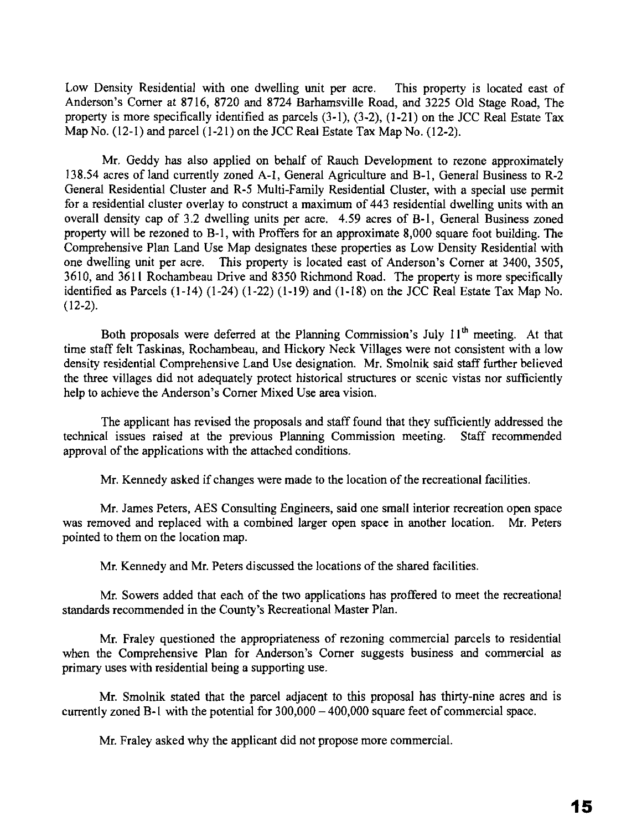Low Density Residential with one dwelling unit per acre. This property is located east of Anderson's Corner at 8716, 8720 and 8724 Barhamsville Road, and 3225 Old Stage Road, The property is more specifically identified as parcels (3-1), (3-2), (1-21) on the JCC Real Estate Tax Map No. (12-1) and parcel (1-21) on the JCC Real Estate Tax Map No. (12-2).

Mr. Geddy has also applied on behalf of Rauch Development to rezone approximately 138.54 acres of land currently zoned A-I, General Agriculture and B-1, General Business to R-2 General Residential Cluster and R-5 Multi-Family Residential Cluster, with a special use permit for a residential cluster overlay to construct a maximum of 443 residential dwelling units with an overall density cap of 3.2 dwelling units per acre. 4.59 acres of B-1, General Business zoned property will be rezoned to B-1, with Proffers for an approximate 8,000 square foot building. The Comprehensive Plan Land Use Map designates these properties as Low Density Residential with one dwelling unit per acre. This property is located east of Anderson's Corner at 3400, 3505, 3610, and 3611 Rochambeau Drive and 8350 Richmond Road. The property is more specifically identified as Parcels (1-14) (1-24) (1-22) (1-19) and (1-18) on the JCC Real Estate Tax Map No. (12-2).

Both proposals were deferred at the Planning Commission's July  $11<sup>th</sup>$  meeting. At that time staff felt Taskinas, Rochambeau, and Hickory Neck Villages were not consistent with a low density residential Comprehensive Land Use designation. Mr. Smolnik said staff further believed the three villages did not adequately protect historical structures or scenic vistas nor sufficiently help to achieve the Anderson's Corner Mixed Use area vision.

The applicant has revised the proposals and staff found that they sufficiently addressed the technical issues raised at the previous Planning Commission meeting. Staff recommended approval of the applications with the attached conditions.

Mr. Kennedy asked if changes were made to the location of the recreational facilities.

Mr. James Peters, AES Consulting Engineers, said one small interior recreation open space was removed and replaced with a combined larger open space in another location. Mr. Peters pointed to them on the location map.

Mr. Kennedy and Mr. Peters discussed the locations of the shared facilities.

Mr. Sowers added that each of the two applications has proffered to meet the recreational standards recommended in the County's Recreational Master Plan.

Mr. Fraley questioned the appropriateness of rezoning commercial parcels to residential when the Comprehensive Plan for Anderson's Corner suggests business and commercial as primary uses with residential being a supporting use.

Mr. Smolnik stated that the parcel adjacent to this proposal has thirty-nine acres and is currently zoned B-1 with the potential for  $300,000 - 400,000$  square feet of commercial space.

Mr. Fraley asked why the applicant did not propose more commercial.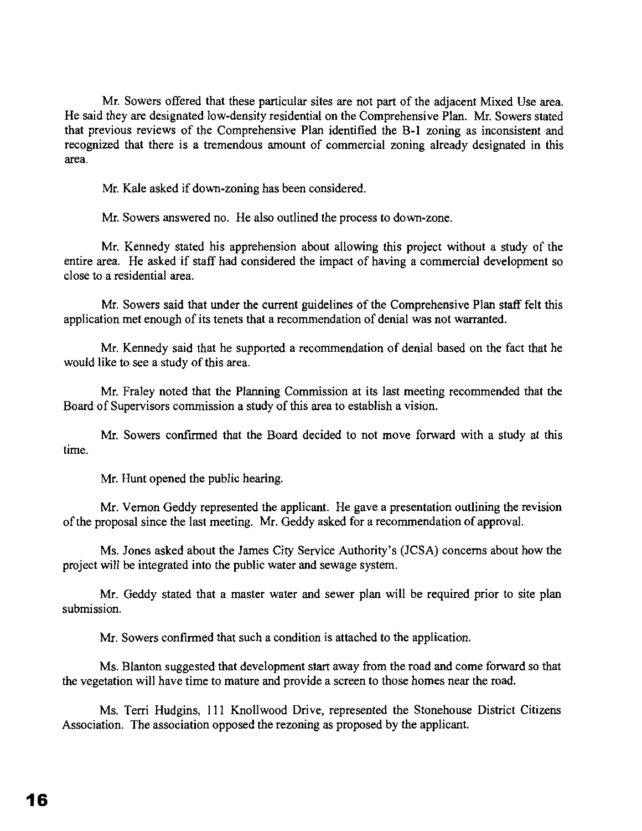Mr. Sowers offered that these particular sites are not part of the adjacent Mixed Use area. He said they are designated low-density residential on the Comprehensive Plan. Mr. Sowers stated that previous reviews of the Comprehensive Plan identified the B-1 zoning as inconsistent and recognized that there is a tremendous amount of commercial zoning already designated in this area.

Mr. Kale asked if down-zoning has been considered.

Mr. Sowers answered no. He also outlined the process to down-zone.

Mr. Kennedy stated his apprehension about allowing this project without a study of the entire area. He asked if staff had considered the impact of having a commercial development so close to a residential area.

Mr. Sowers said that under the current guidelines of the Comprehensive Plan staff felt this application met enough of its tenets that a recommendation of denial was not warranted.

Mr. Kennedy said that he supported a recommendation of denial based on the fact that he would like to see a study of this area.

Mr. Fraley noted that the Planning Commission at its last meeting recommended that the Board of Supervisors commission a study of this area to establish a vision.

Mr. Sowers confirmed that the Board decided to not move forward with a study at this time.

Mr. Hunt opened the public hearing.

Mr. Vernon Geddy represented the applicant. He gave a presentation outlining the revision ofthe proposal since the last meeting. Mr. Geddy asked for a recommendation of approval.

Ms. Jones asked about the James City Service Authority's (JCSA) concerns about how the project will be integrated into the public water and sewage system.

Mr. Geddy stated that a master water and sewer plan will be required prior to site plan submission.

Mr. Sowers confirmed that such a condition is attached to the application.

Ms. Blanton suggested that development start away from the road and come forward so that the vegetation will have time to mature and provide a screen to those homes near the road.

Ms. Terri Hudgins, III Knollwood Drive, represented the Stonehouse District Citizens Association. The association opposed the rezoning as proposed by the applicant.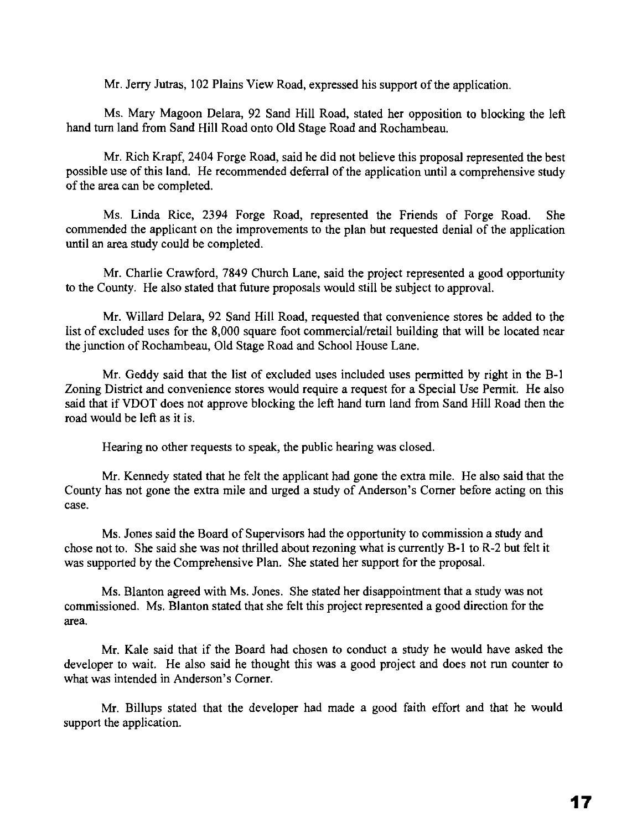Mr. Jerry Jutras, 102 Plains View Road, expressed his support of the application.

Ms. Mary Magoon Delara, 92 Sand Hill Road, stated her opposition to blocking the left hand turn land from Sand Hill Road onto Old Stage Road and Rochambeau,

Mr. Rich Krapf, 2404 Forge Road, said he did not believe this proposal represented the best possible use of this land. He recommended deferral of the application until a comprehensive study of the area can be completed.

Ms. Linda Rice, 2394 Forge Road, represented the Friends of Forge Road. She commended the applicant on the improvements to the plan but requested denial of the application until an area study could be completed.

Mr. Charlie Crawford, 7849 Church Lane, said the project represented a good opportunity to the County. He also stated that future proposals would still be subject to approvaL

Mr. Willard Delara, 92 Sand Hill Road, requested that convenience stores be added to the list of excluded uses for the 8,000 square foot commercial/retail building that will be located near the junction of Rochambeau, Old Stage Road and School House Lane.

Mr. Geddy said that the list of excluded uses included uses permitted by right in the B-1 Zoning District and convenience stores would require a request for a Special Use Permit. He also said that if VDOT does not approve blocking the left hand turn land from Sand Hill Road then the road would be left as it is.

Hearing no other requests to speak, the public hearing was closed.

Mr. Kennedy stated that he felt the applicant had gone the extra mile. He also said that the County has not gone the extra mile and urged a study of Anderson's Corner before acting on this case.

Ms. Jones said the Board of Supervisors had the opportunity to commission a study and chose not to. She said she was not thrilled about rezoning what is currently B-1 to R-2 but felt it was supported by the Comprehensive Plan. She stated her support for the proposal,

Ms. Blanton agreed with Ms. Jones. She stated her disappointment that a study was not commissioned. Ms. Blanton stated that she felt this project represented a good direction for the area.

Mr. Kale said that if the Board had chosen to conduct a study he would have asked the developer to wait. He also said he thought this was a good project and does not run counter to what was intended in Anderson's Comer.

Mr. Billups stated that the developer had made a good faith effort and that he would support the application.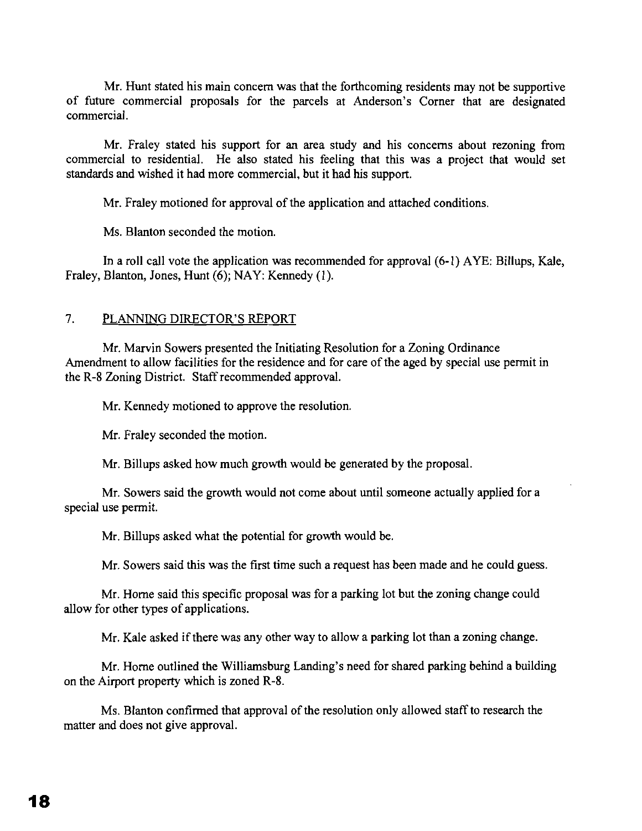Mr. Hunt stated his main concern was that the forthcoming residents may not be supportive of future commercial proposals for the parcels at Anderson's Corner that are designated commercial.

Mr. Fraley stated his support for an area study and his concerns about rezoning from commercial to residential. He also stated his feeling that this was a project that would set standards and wished it had more commercial, but it had his support.

Mr. Fraley motioned for approval of the application and attached conditions.

Ms. Blanton seconded the motion.

**In** a roll call vote the application was recommended for approval (6-1) AYE: Billups, Kale, Fraley, Blanton, Jones, Hunt (6); NAY: Kennedy (I).

### 7. PLANNING DIRECTOR'S REPORT

Mr. Marvin Sowers presented the Initiating Resolution for a Zoning Ordinance Amendment to allow facilities for the residence and for care of the aged by special use permit in the R-8 Zoning District. Staff recommended approval.

Mr. Kennedy motioned to approve the resolution.

Mr. Fraley seconded the motion.

Mr. Billups asked how much growth would be generated by the proposal.

Mr. Sowers said the growth would not come about until someone actually applied for a special use permit.

Mr. Billups asked what the potential for growth would be.

Mr. Sowers said this was the first time such a request has been made and he could guess.

Mr. Home said this specific proposal was for a parking lot but the zoning change could allow for other types of applications.

Mr. Kale asked if there was any other way to allow a parking lot than a zoning change.

Mr. Home outlined the Williamsburg Landing's need for shared parking behind a building on the Airport property which is zoned R-8.

Ms. Blanton confirmed that approval of the resolution only allowed staff to research the matter and does not give approval.